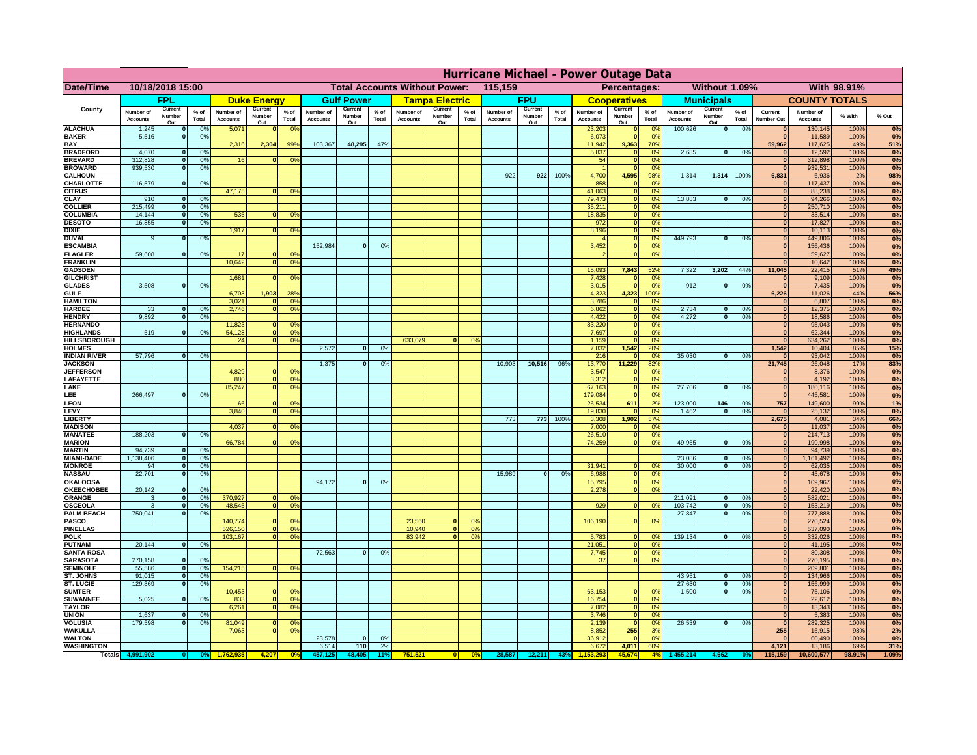|                                       | Hurricane Michael - Power Outage Data |                              |                      |                              |                                                 |                                  |                              |                   |                |                              |                                              |                 |                       |                   |                 |                              |                      |                       |                              |                         |                 |                              |                              |              |           |
|---------------------------------------|---------------------------------------|------------------------------|----------------------|------------------------------|-------------------------------------------------|----------------------------------|------------------------------|-------------------|----------------|------------------------------|----------------------------------------------|-----------------|-----------------------|-------------------|-----------------|------------------------------|----------------------|-----------------------|------------------------------|-------------------------|-----------------|------------------------------|------------------------------|--------------|-----------|
| Date/Time                             | 10/18/2018 15:00                      |                              |                      |                              | 115,159<br><b>Total Accounts Without Power:</b> |                                  |                              |                   |                |                              | Without 1.09%<br>With 98.91%<br>Percentages: |                 |                       |                   |                 |                              |                      |                       |                              |                         |                 |                              |                              |              |           |
|                                       |                                       | FPL                          |                      |                              | <b>Duke Energy</b>                              |                                  |                              | <b>Gulf Power</b> |                |                              | <b>Tampa Electric</b>                        |                 |                       | <b>FPU</b>        |                 |                              | <b>Cooperatives</b>  |                       |                              | <b>Municipals</b>       |                 |                              | <b>COUNTY TOTALS</b>         |              |           |
| County                                | Number of<br><b>Accounts</b>          | Current<br>Number            | $%$ of<br>Total      | Number of<br><b>Accounts</b> | Current<br>Number                               | $%$ of<br>Total                  | Number of<br><b>Accounts</b> | Current<br>Number | % of<br>Total  | Number of<br><b>Accounts</b> | Current<br>Number                            | $%$ of<br>Total | Number of<br>Accounts | Current<br>Number | $%$ of<br>Total | Number of<br><b>Accounts</b> | Current<br>Number    | $%$ of<br>Total       | Number of<br><b>Accounts</b> | Current<br>Number       | $%$ of<br>Total | Current<br><b>Number Out</b> | Number of<br><b>Accounts</b> | % With       | % Out     |
| <b>ALACHUA</b>                        | 1,245                                 | Out<br>$\mathbf{0}$          | 0%                   | 5,071                        | Out<br>$\bf{0}$                                 | 0 <sup>9</sup>                   |                              | Out               |                |                              | Out                                          |                 |                       | Out               |                 | 23,203                       | Out<br> 0            | 0 <sup>9</sup>        | 100,626                      | Out<br> 0               | 0%              | $\bf{0}$                     | 130,145                      | 100%         | 0%        |
| <b>BAKER</b>                          | 5,516                                 | 0                            | 0%                   |                              |                                                 |                                  |                              |                   |                |                              |                                              |                 |                       |                   |                 | 6,073                        | 0                    | 0%                    |                              |                         |                 | $\mathbf{0}$                 | 11,589                       | 100%         | 0%        |
| <b>BAY</b><br><b>BRADFORD</b>         | 4,070                                 | $\mathbf{0}$                 | 0%                   | 2,316                        | 2,304                                           | 99%                              | 103,367                      | 48,295            | 47%            |                              |                                              |                 |                       |                   |                 | 11,942<br>5,837              | 9,363<br> 0          | 78%<br>0%             | 2,685                        | 0                       | 0%              | 59,962<br>$\bf{0}$           | 117,625<br>12,592            | 49%<br>100%  | 51%<br>0% |
| <b>BREVARD</b>                        | 312,828                               | 0                            | 0%                   | 16                           | $\mathbf{0}$                                    | 0 <sup>o</sup>                   |                              |                   |                |                              |                                              |                 |                       |                   |                 | 54                           | 0                    | 0%                    |                              |                         |                 | $\mathbf{0}$                 | 312,898                      | 100%         | 0%        |
| <b>BROWARD</b>                        | 939.530                               | 0                            | 0%                   |                              |                                                 |                                  |                              |                   |                |                              |                                              |                 |                       |                   |                 |                              | 0                    | 0%                    |                              |                         |                 | $\bf{0}$                     | 939,531                      | 100%         | 0%        |
| <b>CALHOUN</b><br>CHARLOTTE           | 116,579                               | 0                            | 0%                   |                              |                                                 |                                  |                              |                   |                |                              |                                              |                 | 922                   | 922               | 100%            | 4,700<br>858                 | 4,595<br> 0          | 98%<br>0 <sup>9</sup> | 1,314                        | 1,314 100%              |                 | 6,831                        | 6,936<br>117,437             | 2%<br>100%   | 98%<br>0% |
| <b>CITRUS</b>                         |                                       |                              |                      | 47,175                       | $\mathbf{0}$                                    | 0 <sup>o</sup>                   |                              |                   |                |                              |                                              |                 |                       |                   |                 | 41,063                       | 0                    | 0 <sup>9</sup>        |                              |                         |                 | $\bf{0}$                     | 88,238                       | 100%         | 0%        |
| <b>CLAY</b><br><b>COLLIER</b>         | 910<br>215,499                        | $\mathbf{0}$<br>$\mathbf{0}$ | 0%<br>0 <sup>9</sup> |                              |                                                 |                                  |                              |                   |                |                              |                                              |                 |                       |                   |                 | 79,473<br>35,211             | 0 <br> 0             | 0%<br>0%              | 13,883                       | 0                       | 0%              | $\bf{0}$<br>$\bf{0}$         | 94,266<br>250,710            | 100%<br>100% | 0%<br>0%  |
| <b>COLUMBIA</b>                       | 14,144                                | $\mathbf 0$                  | 0%                   | 535                          | $\mathbf{0}$                                    | 0 <sup>9</sup>                   |                              |                   |                |                              |                                              |                 |                       |                   |                 | 18,835                       | 0                    | 0%                    |                              |                         |                 | $\bf{0}$                     | 33,514                       | 100%         | 0%        |
| <b>DESOTO</b>                         | 16,855                                | $\mathbf{0}$                 | 0%                   |                              |                                                 |                                  |                              |                   |                |                              |                                              |                 |                       |                   |                 | 972                          | 0                    | 0%                    |                              |                         |                 | $\bf{0}$                     | 17,827                       | 100%         | 0%        |
| <b>DIXIE</b><br><b>DUVAL</b>          | 9                                     | $\Omega$                     | 0%                   | 1,917                        | $\Omega$                                        | 0 <sup>9</sup>                   |                              |                   |                |                              |                                              |                 |                       |                   |                 | 8,196                        | 0 <br> 0             | 0%<br>0%              | 449.793                      | $\overline{\mathbf{0}}$ | 0%              | $\Omega$<br>$\Omega$         | 10,113<br>449,806            | 100%<br>100% | 0%<br>0%  |
| <b>ESCAMBIA</b>                       |                                       |                              |                      |                              |                                                 |                                  | 152,984                      | $\mathbf{0}$      | 0 <sup>9</sup> |                              |                                              |                 |                       |                   |                 | 3,452                        | 0                    | 0%                    |                              |                         |                 | $\Omega$                     | 156,436                      | 100%         | 0%        |
| <b>FLAGLER</b>                        | 59,608                                | $\overline{0}$               | 0%                   | 17                           | $\bf{0}$                                        | 0 <sup>o</sup>                   |                              |                   |                |                              |                                              |                 |                       |                   |                 |                              | 0                    | 0%                    |                              |                         |                 | $\bf{0}$                     | 59,627                       | 100%         | 0%        |
| <b>FRANKLIN</b><br><b>GADSDEN</b>     |                                       |                              |                      | 10,642                       | 0                                               | 0 <sup>9</sup>                   |                              |                   |                |                              |                                              |                 |                       |                   |                 | 15,093                       | 7,843                | 52%                   | 7,322                        | 3,202                   | 44%             | $\Omega$<br>11,045           | 10,642<br>22,415             | 100%<br>51%  | 0%<br>49% |
| <b>GILCHRIST</b>                      |                                       |                              |                      | 1,681                        | $\mathbf{0}$                                    | 0 <sup>9</sup>                   |                              |                   |                |                              |                                              |                 |                       |                   |                 | 7,428                        | 0                    | 0%                    |                              |                         |                 | $\mathbf{0}$                 | 9,109                        | 100%         | 0%        |
| <b>GLADES</b>                         | 3,508                                 | 0                            | 0%                   |                              |                                                 |                                  |                              |                   |                |                              |                                              |                 |                       |                   |                 | 3,015                        | 0                    | 0%                    | 912                          | $\overline{0}$          | 0%              | $\overline{0}$               | 7,435                        | 100%         | 0%        |
| <b>GULF</b><br><b>HAMILTON</b>        |                                       |                              |                      | 6,703<br>3,021               | 1,903<br>$\Omega$                               | 28%<br>0 <sup>9</sup>            |                              |                   |                |                              |                                              |                 |                       |                   |                 | 4,323<br>3,786               | 4,323<br> 0          | 100%<br>0%            |                              |                         |                 | 6,226<br>$\Omega$            | 11,026<br>6,807              | 44%<br>100%  | 56%<br>0% |
| <b>HARDEE</b>                         | 33                                    | $\mathbf{0}$                 | 0%                   | 2.746                        |                                                 | $\overline{0}$<br>0 <sup>9</sup> |                              |                   |                |                              |                                              |                 |                       |                   |                 | 6.862                        | $\overline{0}$       | 0%                    | 2.734                        | $\mathbf{0}$            | 0%              | 0                            | 12,375                       | 100%         | 0%        |
| <b>HENDRY</b>                         | 9.892                                 | $\mathbf{0}$                 | 0%                   |                              |                                                 |                                  |                              |                   |                |                              |                                              |                 |                       |                   |                 | 4.422                        | 0                    | 0%                    | 4.272                        | $\mathbf{0}$            | 0%              | 0                            | 18.586                       | 100%         | 0%        |
| <b>HERNANDO</b><br><b>HIGHLANDS</b>   | 519                                   | 0                            | 0 <sup>9</sup>       | 11,823<br>54,128             | $\Omega$<br> 0                                  | 0 <sup>o</sup><br>0 <sup>9</sup> |                              |                   |                |                              |                                              |                 |                       |                   |                 | 83,220<br>7,697              | $\overline{0}$<br> 0 | 0%<br>0%              |                              |                         |                 | 0 <br> 0                     | 95,043<br>62,344             | 100%<br>100% | 0%<br>0%  |
| <b>HILLSBOROUGH</b>                   |                                       |                              |                      | 24                           |                                                 | $\overline{0}$<br>0 <sup>9</sup> |                              |                   |                | 633,079                      |                                              | 0%              |                       |                   |                 | 1,159                        | 0                    | 0%                    |                              |                         |                 | 0                            | 634,262                      | 100%         | 0%        |
| <b>HOLMES</b>                         |                                       |                              |                      |                              |                                                 |                                  | 2.572                        | $\Omega$          | 0%             |                              |                                              |                 |                       |                   |                 | 7,832                        | 1,542                | 20%                   |                              |                         |                 | 1,542                        | 10,404                       | 85%          | 15%       |
| <b>INDIAN RIVER</b><br><b>JACKSON</b> | 57,796                                | 0                            | 0%                   |                              |                                                 |                                  | 1,375                        | $\mathbf{0}$      | 0%             |                              |                                              |                 | 10,903                | 10,516            | 96%             | 216<br>13,770                | 0 <br>11,229         | 0 <sup>9</sup><br>82% | 35,030                       | $\mathbf{0}$            | 0%              | $\mathbf{0}$<br>21,745       | 93,042<br>26,048             | 100%<br>17%  | 0%<br>83% |
| <b>JEFFERSOI</b>                      |                                       |                              |                      | 4,829                        |                                                 | $\Omega$<br>$^{\circ}$           |                              |                   |                |                              |                                              |                 |                       |                   |                 | 3,547                        | 0                    | 0%                    |                              |                         |                 | $\Omega$                     | 8,376                        | 100%         | 0%        |
| <b>LAFAYETTE</b>                      |                                       |                              |                      | 880                          |                                                 | $\overline{0}$<br>0 <sup>9</sup> |                              |                   |                |                              |                                              |                 |                       |                   |                 | 3,312                        | 0                    | 0%                    |                              |                         |                 | 0                            | 4,192                        | 100%         | 0%        |
| LAKE<br>LEE                           | 266,497                               | $\overline{0}$               | 0%                   | 85,247                       |                                                 | $\overline{0}$<br>0 <sup>9</sup> |                              |                   |                |                              |                                              |                 |                       |                   |                 | 67,163<br>179,084            | 0 <br> 0             | 0%<br>0%              | 27,706                       | $\Omega$                | 0%              | 0 <br> 0                     | 180,116<br>445,581           | 100%<br>100% | 0%<br>0%  |
| LEON                                  |                                       |                              |                      | 66                           |                                                 | $\mathbf{0}$<br>0 <sup>o</sup>   |                              |                   |                |                              |                                              |                 |                       |                   |                 | 26,534                       | 611                  | 2%                    | 123,000                      | 146                     | 0%              | 757                          | 149,600                      | 99%          | 1%        |
| LEVY                                  |                                       |                              |                      | 3,840                        | $\Omega$                                        | 0 <sup>9</sup>                   |                              |                   |                |                              |                                              |                 |                       |                   |                 | 19,830                       | 0                    | 0%                    | 1,462                        | $\mathbf{0}$            | 0%              | 0                            | 25,132                       | 100%         | 0%        |
| LIBERTY<br><b>MADISON</b>             |                                       |                              |                      | 4,037                        | $\Omega$                                        | 0 <sup>9</sup>                   |                              |                   |                |                              |                                              |                 | 773                   | 773               | 100%            | 3,308<br>7,000               | 1,902<br> 0          | 57%<br>0 <sup>9</sup> |                              |                         |                 | 2,675<br> 0                  | 4,081<br>11,037              | 34%<br>100%  | 66%<br>0% |
| <b>MANATEE</b>                        | 188,203                               | 0                            | 0%                   |                              |                                                 |                                  |                              |                   |                |                              |                                              |                 |                       |                   |                 | 26,510                       | 0                    | 0%                    |                              |                         |                 | 0                            | 214,713                      | 100%         | 0%        |
| <b>MARION</b>                         |                                       |                              |                      | 66,784                       |                                                 | 0 <sup>9</sup><br>0              |                              |                   |                |                              |                                              |                 |                       |                   |                 | 74,259                       | 0                    | 0%                    | 49,955                       | nl                      | 0%              | 0                            | 190,998                      | 100%         | 0%        |
| <b>MARTIN</b>                         | 94,739<br>1,138,406                   | 0 <br> 0                     | 0%                   |                              |                                                 |                                  |                              |                   |                |                              |                                              |                 |                       |                   |                 |                              |                      |                       | 23,086                       | $\mathbf{0}$            | 0%              | 0 <br> 0                     | 94,739                       | 100%         | 0%<br>0%  |
| <b>MIAMI-DADE</b><br><b>MONROE</b>    | 94                                    | 0                            | 0%<br>0%             |                              |                                                 |                                  |                              |                   |                |                              |                                              |                 |                       |                   |                 | 31,941                       | $\overline{0}$       | 0 <sup>9</sup>        | 30,000                       | 0                       | 0%              | 0                            | 1,161,492<br>62,035          | 100%<br>100% | 0%        |
| <b>NASSAU</b>                         | 22,701                                | 0                            | 0%                   |                              |                                                 |                                  |                              |                   |                |                              |                                              |                 | 15,989                | 0                 | 0%              | 6,988                        | 0                    | 0%                    |                              |                         |                 | 0                            | 45,678                       | 100%         | 0%        |
| <b>OKALOOSA</b><br><b>OKEECHOBEE</b>  | 20,142                                |                              | 0%                   |                              |                                                 |                                  | 94,172                       | $\mathbf{0}$      | 0%             |                              |                                              |                 |                       |                   |                 | 15,795                       | 0                    | 0%<br>0%              |                              |                         |                 | 0                            | 109,967                      | 100%         | 0%<br>0%  |
| ORANGE                                | 3                                     | 0 <br> 0                     | 0%                   | 370,927                      |                                                 | 0 <br>0 <sup>o</sup>             |                              |                   |                |                              |                                              |                 |                       |                   |                 | 2,278                        |                      | 0                     | 211,091                      | $\overline{\mathbf{0}}$ | 0%              | 0 <br> 0                     | 22,420<br>582,021            | 100%<br>100% | 0%        |
| <b>OSCEOLA</b>                        | 3                                     | 0                            | 0%                   | 48,545                       |                                                 | 0 <sup>9</sup><br> 0             |                              |                   |                |                              |                                              |                 |                       |                   |                 | 929                          |                      | 0 <br>0%              | 103,742                      | 0                       | 0%              | 0                            | 153,219                      | 100%         | 0%        |
| <b>PALM BEACH</b><br>PASCO            | 750,041                               |                              | 0%<br> 0             | 140,774                      |                                                 | $\Omega$<br>$^{\circ}$           |                              |                   |                |                              | $\Omega$                                     | $^{\circ}$      |                       |                   |                 | 106,190                      |                      | 0 <br>0%              | 27,847                       | $\overline{\mathbf{0}}$ | 0%              | 0 <br> 0                     | 777,888                      | 100%<br>100% | 0%        |
| <b>PINELLAS</b>                       |                                       |                              |                      | 526,150                      |                                                 | 0 <sup>9</sup><br> 0             |                              |                   |                | 23,560<br>10,940             | 0                                            | 0%              |                       |                   |                 |                              |                      |                       |                              |                         |                 | $\mathbf{0}$                 | 270,524<br>537,090           | 100%         | 0%<br>0%  |
| <b>POLK</b>                           |                                       |                              |                      | 103,167                      |                                                 | 0 <sup>9</sup><br> 0             |                              |                   |                | 83,942                       | $\mathbf{a}$                                 | 0%              |                       |                   |                 | 5,783                        | 0                    | $\Omega$              | 139,134                      | 0                       | 0%              | 0                            | 332,026                      | 100%         | 0%        |
| <b>PUTNAM</b><br><b>SANTA ROSA</b>    | 20,144                                | 0                            | 0%                   |                              |                                                 |                                  | 72,563                       | 0                 | 0%             |                              |                                              |                 |                       |                   |                 | 21,051<br>7,745              | 0                    | 0%<br>0%              |                              |                         |                 | $\bf{0}$<br>$\mathbf{0}$     | 41,195                       | 100%<br>100% | 0%        |
| <b>SARASOTA</b>                       | 270,158                               | 0                            | 0%                   |                              |                                                 |                                  |                              |                   |                |                              |                                              |                 |                       |                   |                 | 37                           | 0                    | 0 <br>0%              |                              |                         |                 | 0                            | 80,308<br>270,195            | 100%         | 0%<br>0%  |
| <b>SEMINOLE</b>                       | 55,586                                | 0                            | 0%                   | 154,215                      |                                                 | $\mathbf{0}$<br>0 <sup>9</sup>   |                              |                   |                |                              |                                              |                 |                       |                   |                 |                              |                      |                       |                              |                         |                 | 0                            | 209,801                      | 100%         | 0%        |
| <b>ST. JOHNS</b><br><b>ST. LUCIE</b>  | 91,015<br>129.369                     | 0 <br>$\overline{0}$         | 0%<br>0%             |                              |                                                 |                                  |                              |                   |                |                              |                                              |                 |                       |                   |                 |                              |                      |                       | 43,951<br>27.630             | -ol<br>- O I            | 0%<br>0%        | 0 <br> 0                     | 134,966<br>156,999           | 100%<br>100% | 0%<br>0%  |
| <b>SUMTER</b>                         |                                       |                              |                      | 10,453                       |                                                 | 0 <br>0 <sup>9</sup>             |                              |                   |                |                              |                                              |                 |                       |                   |                 | 63,153                       | 0                    | 0%                    | 1.500                        | 0                       | 0%              | 0                            | 75,106                       | 100%         | 0%        |
| <b>SUWANNEE</b>                       | 5,025                                 | 0                            | 0%                   | 833                          | 0                                               | 0 <sup>o</sup>                   |                              |                   |                |                              |                                              |                 |                       |                   |                 | 16,754                       | 0                    | 0%                    |                              |                         |                 | $\mathbf{0}$                 | 22,612                       | 100%         | 0%        |
| <b>TAYLOR</b>                         |                                       |                              | 0%                   | 6,261                        |                                                 | 0 <br>0 <sup>9</sup>             |                              |                   |                |                              |                                              |                 |                       |                   |                 | 7,082                        | 0                    | 0%<br>0%              |                              |                         |                 | $\bf{0}$                     | 13,343                       | 100%<br>100% | 0%<br>0%  |
| <b>UNION</b><br><b>VOLUSIA</b>        | 1,637<br>179,598                      | $\mathbf{0}$<br>0            | 0%                   | 81,049                       | $\mathbf{0}$                                    | $\mathbf{0}$                     |                              |                   |                |                              |                                              |                 |                       |                   |                 | 3,746<br>2,139               | 0 <br> 0             | 0%                    | 26,539                       | 0                       | 0%              | 0 <br>$\mathbf{0}$           | 5,383<br>289,325             | 100%         | 0%        |
| <b>WAKULLA</b>                        |                                       |                              |                      | 7,063                        | $\mathbf{0}$                                    | 0 <sup>9</sup>                   |                              |                   |                |                              |                                              |                 |                       |                   |                 | 8,852                        | 255                  | 3%                    |                              |                         |                 | 255                          | 15,915                       | 98%          | 2%        |
| <b>WALTON</b><br><b>WASHINGTON</b>    |                                       |                              |                      |                              |                                                 |                                  | 23,578<br>6,514              | 0 <br>110         | 0%<br>2%       |                              |                                              |                 |                       |                   |                 | 36,912<br>6,672              | 0 <br>4,011          | 0%<br>60%             |                              |                         |                 | $\mathbf{0}$<br>4,121        | 60,490<br>13,186             | 100%<br>69%  | 0%<br>31% |
| <b>Totals</b>                         |                                       |                              |                      |                              | 4,207                                           | 0 <sup>6</sup>                   |                              | 48,405            | 119            | 751,521                      | 0                                            | $\frac{1}{2}$   | 28,587 12,211         |                   | 43%             |                              | 45.674               | 4%                    | 155,214                      |                         |                 | 115,159                      | 10,600,577                   | 98.91%       | 1.09%     |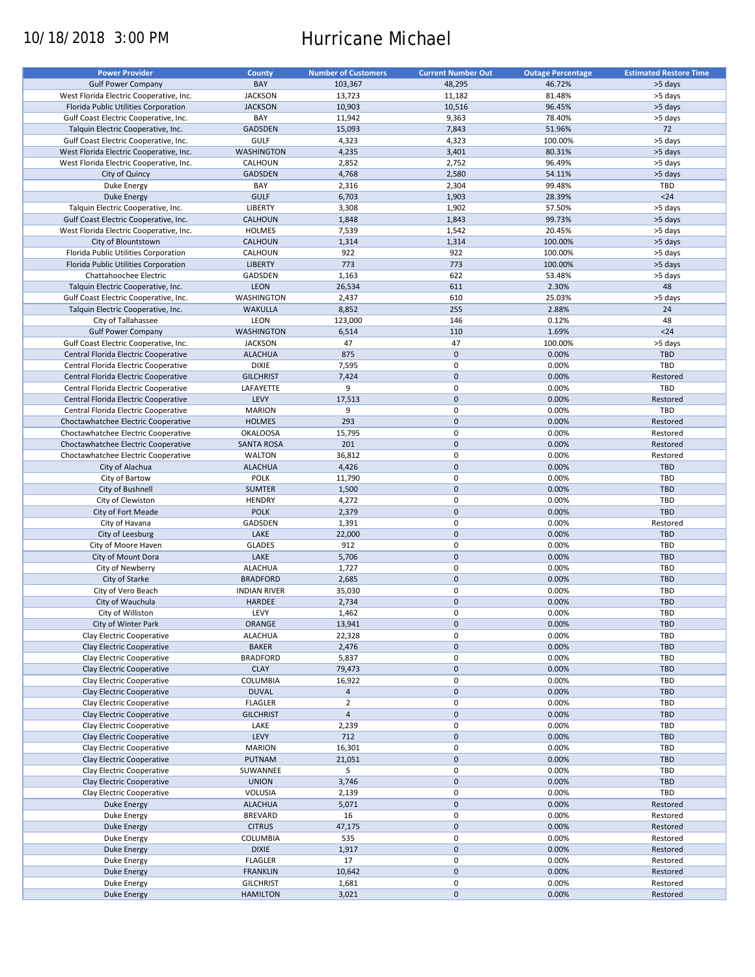# 10/18/2018 3:00 PM Hurricane Michael

| <b>Power Provider</b>                   | <b>County</b>       | <b>Number of Customers</b> | <b>Current Number Out</b> | <b>Outage Percentage</b> | <b>Estimated Restore Time</b> |
|-----------------------------------------|---------------------|----------------------------|---------------------------|--------------------------|-------------------------------|
|                                         |                     |                            |                           |                          |                               |
| <b>Gulf Power Company</b>               | BAY                 | 103,367                    | 48,295                    | 46.72%                   | >5 days                       |
| West Florida Electric Cooperative, Inc. | <b>JACKSON</b>      | 13,723                     | 11,182                    | 81.48%                   | >5 days                       |
| Florida Public Utilities Corporation    | <b>JACKSON</b>      | 10,903                     | 10,516                    | 96.45%                   | >5 days                       |
| Gulf Coast Electric Cooperative, Inc.   | BAY                 | 11,942                     | 9,363                     | 78.40%                   | >5 days                       |
| Talquin Electric Cooperative, Inc.      | GADSDEN             | 15,093                     | 7,843                     | 51.96%                   | 72                            |
| Gulf Coast Electric Cooperative, Inc.   | GULF                | 4,323                      | 4,323                     | 100.00%                  | >5 days                       |
|                                         |                     |                            |                           |                          |                               |
| West Florida Electric Cooperative, Inc. | <b>WASHINGTON</b>   | 4,235                      | 3,401                     | 80.31%                   | >5 days                       |
| West Florida Electric Cooperative, Inc. | CALHOUN             | 2,852                      | 2,752                     | 96.49%                   | >5 days                       |
| City of Quincy                          | <b>GADSDEN</b>      | 4,768                      | 2,580                     | 54.11%                   | >5 days                       |
| Duke Energy                             | BAY                 | 2,316                      | 2,304                     | 99.48%                   | TBD                           |
| <b>Duke Energy</b>                      | <b>GULF</b>         | 6,703                      | 1,903                     | 28.39%                   | $24$                          |
| Talquin Electric Cooperative, Inc.      | <b>LIBERTY</b>      | 3,308                      | 1,902                     | 57.50%                   | >5 days                       |
| Gulf Coast Electric Cooperative, Inc.   | CALHOUN             | 1,848                      | 1,843                     | 99.73%                   | >5 days                       |
|                                         |                     |                            |                           |                          |                               |
| West Florida Electric Cooperative, Inc. | <b>HOLMES</b>       | 7,539                      | 1,542                     | 20.45%                   | >5 days                       |
| City of Blountstown                     | <b>CALHOUN</b>      | 1,314                      | 1,314                     | 100.00%                  | >5 days                       |
| Florida Public Utilities Corporation    | CALHOUN             | 922                        | 922                       | 100.00%                  | >5 days                       |
| Florida Public Utilities Corporation    | <b>LIBERTY</b>      | 773                        | 773                       | 100.00%                  | >5 days                       |
| Chattahoochee Electric                  | GADSDEN             | 1,163                      | 622                       | 53.48%                   | >5 days                       |
| Talquin Electric Cooperative, Inc.      | LEON                | 26,534                     | 611                       | 2.30%                    | 48                            |
|                                         |                     |                            |                           |                          |                               |
| Gulf Coast Electric Cooperative, Inc.   | WASHINGTON          | 2,437                      | 610                       | 25.03%                   | >5 days                       |
| Talquin Electric Cooperative, Inc.      | <b>WAKULLA</b>      | 8,852                      | 255                       | 2.88%                    | 24                            |
| City of Tallahassee                     | LEON                | 123,000                    | 146                       | 0.12%                    | 48                            |
| <b>Gulf Power Company</b>               | <b>WASHINGTON</b>   | 6,514                      | 110                       | 1.69%                    | $24$                          |
| Gulf Coast Electric Cooperative, Inc.   | <b>JACKSON</b>      | 47                         | 47                        | 100.00%                  | >5 days                       |
| Central Florida Electric Cooperative    | <b>ALACHUA</b>      | 875                        | $\pmb{0}$                 | 0.00%                    | <b>TBD</b>                    |
|                                         |                     |                            |                           |                          |                               |
| Central Florida Electric Cooperative    | <b>DIXIE</b>        | 7,595                      | $\mathbf 0$               | 0.00%                    | TBD                           |
| Central Florida Electric Cooperative    | <b>GILCHRIST</b>    | 7,424                      | $\mathbf 0$               | 0.00%                    | Restored                      |
| Central Florida Electric Cooperative    | LAFAYETTE           | 9                          | $\pmb{0}$                 | 0.00%                    | TBD                           |
| Central Florida Electric Cooperative    | LEVY                | 17,513                     | $\mathbf 0$               | 0.00%                    | Restored                      |
| Central Florida Electric Cooperative    | <b>MARION</b>       | 9                          | $\pmb{0}$                 | 0.00%                    | TBD                           |
| Choctawhatchee Electric Cooperative     | <b>HOLMES</b>       | 293                        | $\mathbf 0$               | 0.00%                    | Restored                      |
| Choctawhatchee Electric Cooperative     | <b>OKALOOSA</b>     | 15,795                     | 0                         | 0.00%                    | Restored                      |
|                                         |                     |                            |                           |                          |                               |
| Choctawhatchee Electric Cooperative     | <b>SANTA ROSA</b>   | 201                        | $\mathbf 0$               | 0.00%                    | Restored                      |
| Choctawhatchee Electric Cooperative     | <b>WALTON</b>       | 36,812                     | $\pmb{0}$                 | 0.00%                    | Restored                      |
| City of Alachua                         | <b>ALACHUA</b>      | 4,426                      | $\mathbf 0$               | 0.00%                    | <b>TBD</b>                    |
| City of Bartow                          | <b>POLK</b>         | 11,790                     | 0                         | 0.00%                    | TBD                           |
| City of Bushnell                        | <b>SUMTER</b>       | 1,500                      | $\mathbf 0$               | 0.00%                    | <b>TBD</b>                    |
| City of Clewiston                       | <b>HENDRY</b>       | 4,272                      | $\pmb{0}$                 | 0.00%                    | TBD                           |
| City of Fort Meade                      | <b>POLK</b>         | 2,379                      | $\mathbf 0$               | 0.00%                    | TBD                           |
|                                         | GADSDEN             |                            | 0                         | 0.00%                    |                               |
| City of Havana                          |                     | 1,391                      |                           |                          | Restored                      |
| City of Leesburg                        | LAKE                | 22,000                     | $\pmb{0}$                 | 0.00%                    | <b>TBD</b>                    |
| City of Moore Haven                     | <b>GLADES</b>       | 912                        | 0                         | 0.00%                    | TBD                           |
| City of Mount Dora                      | LAKE                | 5,706                      | $\mathbf 0$               | 0.00%                    | <b>TBD</b>                    |
| City of Newberry                        | <b>ALACHUA</b>      | 1,727                      | 0                         | 0.00%                    | TBD                           |
| City of Starke                          | <b>BRADFORD</b>     | 2,685                      | $\mathbf 0$               | 0.00%                    | <b>TBD</b>                    |
| City of Vero Beach                      | <b>INDIAN RIVER</b> | 35,030                     | 0                         | 0.00%                    | <b>TBD</b>                    |
|                                         |                     |                            |                           |                          |                               |
| City of Wauchula                        | HARDEE              | 2,734                      | $\pmb{0}$                 | 0.00%                    | <b>TBD</b>                    |
| City of Williston                       | LEVY                | 1,462                      | $\mathbf 0$               | 0.00%                    | TBD                           |
| City of Winter Park                     | ORANGE              | 13,941                     | $\pmb{0}$                 | 0.00%                    | TBD                           |
| Clay Electric Cooperative               | <b>ALACHUA</b>      | 22,328                     | 0                         | 0.00%                    | TBD                           |
| Clay Electric Cooperative               | <b>BAKER</b>        | 2,476                      | $\pmb{0}$                 | 0.00%                    | <b>TBD</b>                    |
| Clay Electric Cooperative               | <b>BRADFORD</b>     | 5,837                      | 0                         | 0.00%                    | TBD                           |
| Clay Electric Cooperative               | <b>CLAY</b>         | 79,473                     | $\mathsf{O}\xspace$       | 0.00%                    | TBD                           |
|                                         | <b>COLUMBIA</b>     |                            | $\pmb{0}$                 |                          |                               |
| Clay Electric Cooperative               |                     | 16,922                     |                           | 0.00%                    | TBD                           |
| Clay Electric Cooperative               | <b>DUVAL</b>        | $\overline{4}$             | $\mathsf{O}\xspace$       | 0.00%                    | TBD                           |
| Clay Electric Cooperative               | <b>FLAGLER</b>      | $\overline{2}$             | 0                         | 0.00%                    | TBD                           |
| Clay Electric Cooperative               | <b>GILCHRIST</b>    | $\overline{4}$             | $\mathsf{O}\xspace$       | 0.00%                    | <b>TBD</b>                    |
| Clay Electric Cooperative               | LAKE                | 2,239                      | 0                         | 0.00%                    | TBD                           |
| Clay Electric Cooperative               | LEVY                | 712                        | $\pmb{0}$                 | 0.00%                    | <b>TBD</b>                    |
| Clay Electric Cooperative               | <b>MARION</b>       | 16,301                     | 0                         | 0.00%                    | TBD                           |
|                                         |                     |                            |                           |                          |                               |
| Clay Electric Cooperative               | PUTNAM              | 21,051                     | $\pmb{0}$                 | 0.00%                    | <b>TBD</b>                    |
| Clay Electric Cooperative               | SUWANNEE            | 5                          | $\pmb{0}$                 | 0.00%                    | TBD                           |
| Clay Electric Cooperative               | <b>UNION</b>        | 3,746                      | $\pmb{0}$                 | 0.00%                    | <b>TBD</b>                    |
| Clay Electric Cooperative               | VOLUSIA             | 2,139                      | 0                         | 0.00%                    | TBD                           |
| Duke Energy                             | <b>ALACHUA</b>      | 5,071                      | $\pmb{0}$                 | 0.00%                    | Restored                      |
| Duke Energy                             | <b>BREVARD</b>      | 16                         | $\pmb{0}$                 | 0.00%                    | Restored                      |
| Duke Energy                             | <b>CITRUS</b>       | 47,175                     | $\pmb{0}$                 | 0.00%                    | Restored                      |
|                                         |                     |                            | 0                         |                          |                               |
| Duke Energy                             | COLUMBIA            | 535                        |                           | 0.00%                    | Restored                      |
| <b>Duke Energy</b>                      | <b>DIXIE</b>        | 1,917                      | $\pmb{0}$                 | 0.00%                    | Restored                      |
| Duke Energy                             | <b>FLAGLER</b>      | 17                         | 0                         | 0.00%                    | Restored                      |
| <b>Duke Energy</b>                      | <b>FRANKLIN</b>     | 10,642                     | $\pmb{0}$                 | 0.00%                    | Restored                      |
| Duke Energy                             | <b>GILCHRIST</b>    | 1,681                      | 0                         | 0.00%                    | Restored                      |
| Duke Energy                             | <b>HAMILTON</b>     | 3,021                      | $\pmb{0}$                 | 0.00%                    | Restored                      |
|                                         |                     |                            |                           |                          |                               |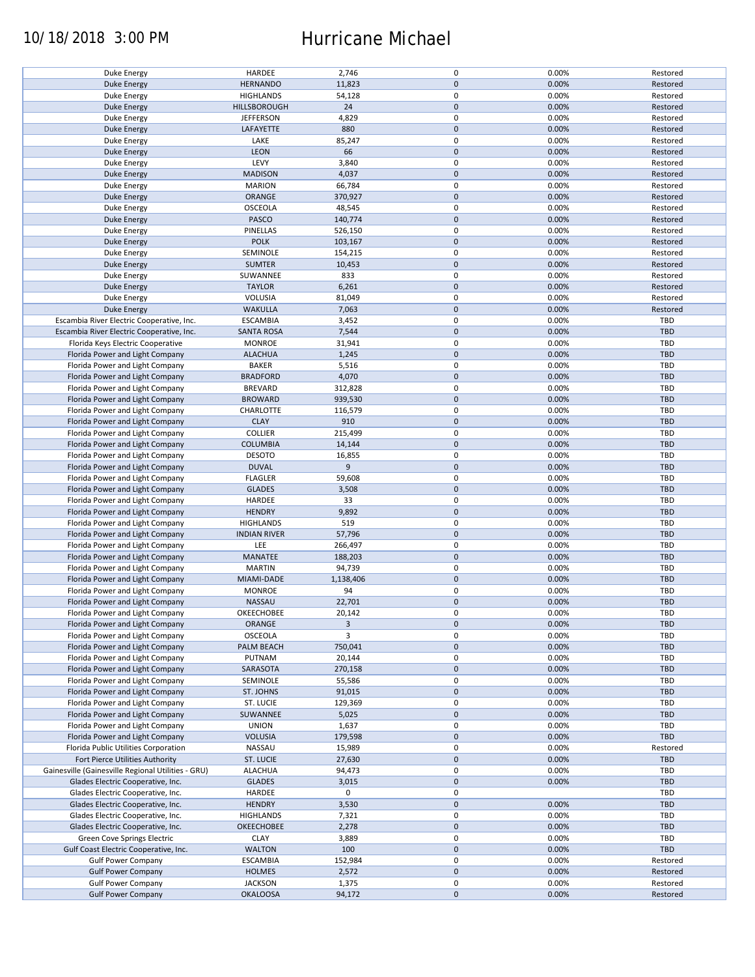### 10/18/2018 3:00 PM Hurricane Michael

| Duke Energy                                        | HARDEE              | 2,746     | 0           | 0.00% | Restored   |
|----------------------------------------------------|---------------------|-----------|-------------|-------|------------|
| <b>Duke Energy</b>                                 | <b>HERNANDO</b>     | 11,823    | $\pmb{0}$   | 0.00% | Restored   |
| Duke Energy                                        | <b>HIGHLANDS</b>    | 54,128    | 0           | 0.00% | Restored   |
|                                                    |                     |           | $\pmb{0}$   |       |            |
| <b>Duke Energy</b>                                 | HILLSBOROUGH        | 24        |             | 0.00% | Restored   |
| Duke Energy                                        | <b>JEFFERSON</b>    | 4,829     | 0           | 0.00% | Restored   |
| Duke Energy                                        | LAFAYETTE           | 880       | $\mathbf 0$ | 0.00% | Restored   |
|                                                    |                     |           |             |       |            |
| Duke Energy                                        | LAKE                | 85,247    | 0           | 0.00% | Restored   |
| Duke Energy                                        | <b>LEON</b>         | 66        | $\pmb{0}$   | 0.00% | Restored   |
| Duke Energy                                        | LEVY                | 3,840     | 0           | 0.00% | Restored   |
|                                                    |                     |           |             |       |            |
| <b>Duke Energy</b>                                 | <b>MADISON</b>      | 4,037     | $\pmb{0}$   | 0.00% | Restored   |
| Duke Energy                                        | <b>MARION</b>       | 66,784    | 0           | 0.00% | Restored   |
| <b>Duke Energy</b>                                 | ORANGE              | 370,927   | $\pmb{0}$   | 0.00% | Restored   |
|                                                    |                     |           |             |       |            |
| Duke Energy                                        | OSCEOLA             | 48,545    | 0           | 0.00% | Restored   |
| Duke Energy                                        | PASCO               | 140,774   | $\mathbf 0$ | 0.00% | Restored   |
|                                                    | PINELLAS            | 526,150   | 0           | 0.00% | Restored   |
| Duke Energy                                        |                     |           |             |       |            |
| <b>Duke Energy</b>                                 | <b>POLK</b>         | 103,167   | $\mathbf 0$ | 0.00% | Restored   |
| Duke Energy                                        | SEMINOLE            | 154,215   | 0           | 0.00% | Restored   |
| <b>Duke Energy</b>                                 | <b>SUMTER</b>       | 10,453    | $\pmb{0}$   | 0.00% | Restored   |
|                                                    |                     |           |             |       |            |
| Duke Energy                                        | SUWANNEE            | 833       | $\pmb{0}$   | 0.00% | Restored   |
| <b>Duke Energy</b>                                 | <b>TAYLOR</b>       | 6,261     | $\pmb{0}$   | 0.00% | Restored   |
|                                                    |                     |           |             |       |            |
| Duke Energy                                        | <b>VOLUSIA</b>      | 81,049    | 0           | 0.00% | Restored   |
| <b>Duke Energy</b>                                 | <b>WAKULLA</b>      | 7,063     | $\pmb{0}$   | 0.00% | Restored   |
| Escambia River Electric Cooperative, Inc.          | <b>ESCAMBIA</b>     | 3,452     | 0           | 0.00% | <b>TBD</b> |
|                                                    |                     |           |             |       |            |
| Escambia River Electric Cooperative, Inc.          | <b>SANTA ROSA</b>   | 7,544     | $\pmb{0}$   | 0.00% | <b>TBD</b> |
| Florida Keys Electric Cooperative                  | <b>MONROE</b>       | 31,941    | $\mathbf 0$ | 0.00% | <b>TBD</b> |
| Florida Power and Light Company                    | <b>ALACHUA</b>      | 1,245     | $\pmb{0}$   | 0.00% | <b>TBD</b> |
|                                                    |                     |           |             |       |            |
| Florida Power and Light Company                    | <b>BAKER</b>        | 5,516     | $\mathbf 0$ | 0.00% | TBD        |
| Florida Power and Light Company                    | <b>BRADFORD</b>     | 4,070     | $\pmb{0}$   | 0.00% | <b>TBD</b> |
|                                                    |                     |           | $\mathbf 0$ |       | <b>TBD</b> |
| Florida Power and Light Company                    | <b>BREVARD</b>      | 312,828   |             | 0.00% |            |
| Florida Power and Light Company                    | <b>BROWARD</b>      | 939,530   | $\pmb{0}$   | 0.00% | <b>TBD</b> |
| Florida Power and Light Company                    | CHARLOTTE           | 116,579   | $\mathbf 0$ | 0.00% | TBD        |
|                                                    |                     |           |             |       |            |
| Florida Power and Light Company                    | <b>CLAY</b>         | 910       | $\pmb{0}$   | 0.00% | <b>TBD</b> |
| Florida Power and Light Company                    | <b>COLLIER</b>      | 215,499   | 0           | 0.00% | TBD        |
| Florida Power and Light Company                    | <b>COLUMBIA</b>     | 14,144    | $\pmb{0}$   | 0.00% | <b>TBD</b> |
|                                                    |                     |           |             |       |            |
| Florida Power and Light Company                    | <b>DESOTO</b>       | 16,855    | $\pmb{0}$   | 0.00% | <b>TBD</b> |
| Florida Power and Light Company                    | <b>DUVAL</b>        | 9         | $\mathbf 0$ | 0.00% | <b>TBD</b> |
|                                                    |                     |           | 0           | 0.00% | TBD        |
| Florida Power and Light Company                    | <b>FLAGLER</b>      | 59,608    |             |       |            |
| Florida Power and Light Company                    | <b>GLADES</b>       | 3,508     | $\mathbf 0$ | 0.00% | <b>TBD</b> |
| Florida Power and Light Company                    | HARDEE              | 33        | 0           | 0.00% | TBD        |
|                                                    |                     |           |             |       |            |
| Florida Power and Light Company                    | <b>HENDRY</b>       | 9,892     | $\pmb{0}$   | 0.00% | <b>TBD</b> |
| Florida Power and Light Company                    | <b>HIGHLANDS</b>    | 519       | 0           | 0.00% | TBD        |
| Florida Power and Light Company                    | <b>INDIAN RIVER</b> | 57,796    | $\pmb{0}$   | 0.00% | <b>TBD</b> |
|                                                    |                     |           |             |       |            |
| Florida Power and Light Company                    | LEE                 | 266,497   | 0           | 0.00% | <b>TBD</b> |
| Florida Power and Light Company                    | MANATEE             | 188,203   | $\mathbf 0$ | 0.00% | <b>TBD</b> |
|                                                    | <b>MARTIN</b>       | 94,739    | 0           | 0.00% | TBD        |
| Florida Power and Light Company                    |                     |           |             |       |            |
| Florida Power and Light Company                    | MIAMI-DADE          | 1,138,406 | $\mathbf 0$ | 0.00% | <b>TBD</b> |
| Florida Power and Light Company                    | <b>MONROE</b>       | 94        | 0           | 0.00% | TBD        |
|                                                    |                     |           |             |       |            |
| Florida Power and Light Company                    | NASSAU              | 22,701    | $\pmb{0}$   | 0.00% | <b>TBD</b> |
| Florida Power and Light Company                    | OKEECHOBEE          | 20,142    | $\mathbf 0$ | 0.00% | TBD        |
| Florida Power and Light Company                    | ORANGE              | 3         | $\pmb{0}$   | 0.00% | <b>TBD</b> |
|                                                    |                     |           |             |       |            |
| Florida Power and Light Company                    | OSCEOLA             | 3         | 0           | 0.00% | TBD        |
| Florida Power and Light Company                    | PALM BEACH          | 750,041   | $\pmb{0}$   | 0.00% | <b>TBD</b> |
| Florida Power and Light Company                    | PUTNAM              | 20,144    | 0           | 0.00% | TBD        |
|                                                    |                     |           |             |       |            |
| Florida Power and Light Company                    | SARASOTA            | 270,158   | $\pmb{0}$   | 0.00% | <b>TBD</b> |
| Florida Power and Light Company                    | SEMINOLE            | 55,586    | 0           | 0.00% | TBD        |
| Florida Power and Light Company                    | ST. JOHNS           | 91,015    | $\pmb{0}$   | 0.00% | <b>TBD</b> |
|                                                    |                     |           |             |       |            |
| Florida Power and Light Company                    | ST. LUCIE           | 129,369   | 0           | 0.00% | TBD        |
| Florida Power and Light Company                    | SUWANNEE            | 5,025     | $\pmb{0}$   | 0.00% | <b>TBD</b> |
|                                                    |                     |           |             |       |            |
| Florida Power and Light Company                    | <b>UNION</b>        | 1,637     | 0           | 0.00% | TBD        |
| Florida Power and Light Company                    | <b>VOLUSIA</b>      | 179,598   | $\mathbf 0$ | 0.00% | <b>TBD</b> |
| Florida Public Utilities Corporation               | NASSAU              | 15,989    | 0           | 0.00% | Restored   |
|                                                    |                     |           |             |       |            |
| Fort Pierce Utilities Authority                    | ST. LUCIE           | 27,630    | 0           | 0.00% | <b>TBD</b> |
| Gainesville (Gainesville Regional Utilities - GRU) | <b>ALACHUA</b>      | 94,473    | 0           | 0.00% | TBD        |
| Glades Electric Cooperative, Inc.                  | <b>GLADES</b>       | 3,015     | $\pmb{0}$   | 0.00% | <b>TBD</b> |
|                                                    |                     |           |             |       |            |
| Glades Electric Cooperative, Inc.                  | HARDEE              | 0         | 0           |       | TBD        |
| Glades Electric Cooperative, Inc.                  | <b>HENDRY</b>       | 3,530     | $\pmb{0}$   | 0.00% | <b>TBD</b> |
|                                                    |                     |           |             |       | TBD        |
| Glades Electric Cooperative, Inc.                  | <b>HIGHLANDS</b>    | 7,321     | 0           | 0.00% |            |
| Glades Electric Cooperative, Inc.                  | OKEECHOBEE          | 2,278     | $\pmb{0}$   | 0.00% | <b>TBD</b> |
| Green Cove Springs Electric                        | <b>CLAY</b>         | 3,889     | $\pmb{0}$   | 0.00% | TBD        |
|                                                    |                     |           |             |       |            |
| Gulf Coast Electric Cooperative, Inc.              | <b>WALTON</b>       | 100       | $\pmb{0}$   | 0.00% | TBD        |
| <b>Gulf Power Company</b>                          | <b>ESCAMBIA</b>     | 152,984   | 0           | 0.00% | Restored   |
| <b>Gulf Power Company</b>                          | <b>HOLMES</b>       | 2,572     | $\pmb{0}$   | 0.00% | Restored   |
|                                                    |                     |           |             |       |            |
| <b>Gulf Power Company</b>                          | <b>JACKSON</b>      | 1,375     | 0           | 0.00% | Restored   |
| <b>Gulf Power Company</b>                          | <b>OKALOOSA</b>     | 94,172    | $\mathbf 0$ | 0.00% | Restored   |
|                                                    |                     |           |             |       |            |